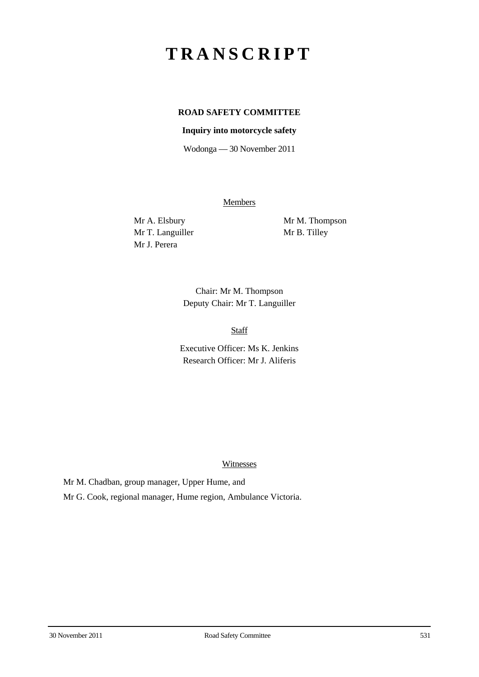# **TRANSCRIPT**

## **ROAD SAFETY COMMITTEE**

#### **Inquiry into motorcycle safety**

Wodonga — 30 November 2011

**Members** 

Mr T. Languiller Mr B. Tilley Mr J. Perera

Mr A. Elsbury Mr M. Thompson

Chair: Mr M. Thompson Deputy Chair: Mr T. Languiller

Staff

Executive Officer: Ms K. Jenkins Research Officer: Mr J. Aliferis

Witnesses

Mr M. Chadban, group manager, Upper Hume, and Mr G. Cook, regional manager, Hume region, Ambulance Victoria.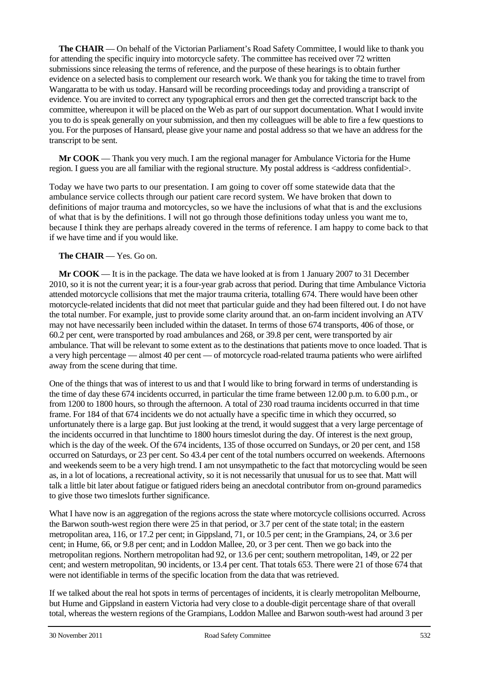**The CHAIR** — On behalf of the Victorian Parliament's Road Safety Committee, I would like to thank you for attending the specific inquiry into motorcycle safety. The committee has received over 72 written submissions since releasing the terms of reference, and the purpose of these hearings is to obtain further evidence on a selected basis to complement our research work. We thank you for taking the time to travel from Wangaratta to be with us today. Hansard will be recording proceedings today and providing a transcript of evidence. You are invited to correct any typographical errors and then get the corrected transcript back to the committee, whereupon it will be placed on the Web as part of our support documentation. What I would invite you to do is speak generally on your submission, and then my colleagues will be able to fire a few questions to you. For the purposes of Hansard, please give your name and postal address so that we have an address for the transcript to be sent.

**Mr COOK** — Thank you very much. I am the regional manager for Ambulance Victoria for the Hume region. I guess you are all familiar with the regional structure. My postal address is <address confidential>.

Today we have two parts to our presentation. I am going to cover off some statewide data that the ambulance service collects through our patient care record system. We have broken that down to definitions of major trauma and motorcycles, so we have the inclusions of what that is and the exclusions of what that is by the definitions. I will not go through those definitions today unless you want me to, because I think they are perhaps already covered in the terms of reference. I am happy to come back to that if we have time and if you would like.

#### **The CHAIR** — Yes. Go on.

**Mr COOK** — It is in the package. The data we have looked at is from 1 January 2007 to 31 December 2010, so it is not the current year; it is a four-year grab across that period. During that time Ambulance Victoria attended motorcycle collisions that met the major trauma criteria, totalling 674. There would have been other motorcycle-related incidents that did not meet that particular guide and they had been filtered out. I do not have the total number. For example, just to provide some clarity around that. an on-farm incident involving an ATV may not have necessarily been included within the dataset. In terms of those 674 transports, 406 of those, or 60.2 per cent, were transported by road ambulances and 268, or 39.8 per cent, were transported by air ambulance. That will be relevant to some extent as to the destinations that patients move to once loaded. That is a very high percentage — almost 40 per cent — of motorcycle road-related trauma patients who were airlifted away from the scene during that time.

One of the things that was of interest to us and that I would like to bring forward in terms of understanding is the time of day these 674 incidents occurred, in particular the time frame between 12.00 p.m. to 6.00 p.m., or from 1200 to 1800 hours, so through the afternoon. A total of 230 road trauma incidents occurred in that time frame. For 184 of that 674 incidents we do not actually have a specific time in which they occurred, so unfortunately there is a large gap. But just looking at the trend, it would suggest that a very large percentage of the incidents occurred in that lunchtime to 1800 hours timeslot during the day. Of interest is the next group, which is the day of the week. Of the 674 incidents, 135 of those occurred on Sundays, or 20 per cent, and 158 occurred on Saturdays, or 23 per cent. So 43.4 per cent of the total numbers occurred on weekends. Afternoons and weekends seem to be a very high trend. I am not unsympathetic to the fact that motorcycling would be seen as, in a lot of locations, a recreational activity, so it is not necessarily that unusual for us to see that. Matt will talk a little bit later about fatigue or fatigued riders being an anecdotal contributor from on-ground paramedics to give those two timeslots further significance.

What I have now is an aggregation of the regions across the state where motorcycle collisions occurred. Across the Barwon south-west region there were 25 in that period, or 3.7 per cent of the state total; in the eastern metropolitan area, 116, or 17.2 per cent; in Gippsland, 71, or 10.5 per cent; in the Grampians, 24, or 3.6 per cent; in Hume, 66, or 9.8 per cent; and in Loddon Mallee, 20, or 3 per cent. Then we go back into the metropolitan regions. Northern metropolitan had 92, or 13.6 per cent; southern metropolitan, 149, or 22 per cent; and western metropolitan, 90 incidents, or 13.4 per cent. That totals 653. There were 21 of those 674 that were not identifiable in terms of the specific location from the data that was retrieved.

If we talked about the real hot spots in terms of percentages of incidents, it is clearly metropolitan Melbourne, but Hume and Gippsland in eastern Victoria had very close to a double-digit percentage share of that overall total, whereas the western regions of the Grampians, Loddon Mallee and Barwon south-west had around 3 per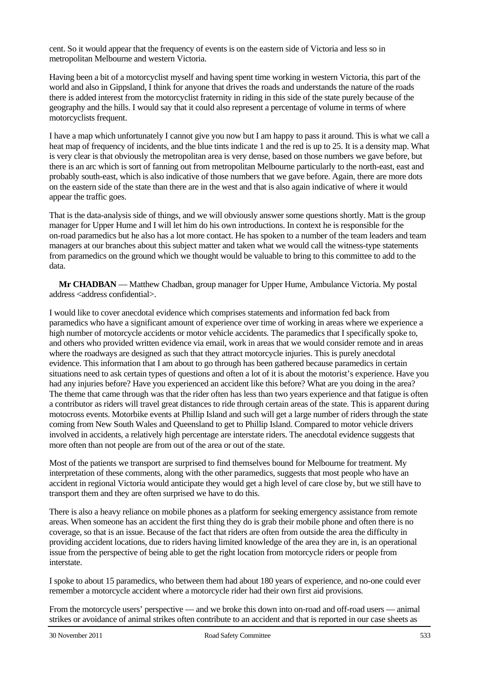cent. So it would appear that the frequency of events is on the eastern side of Victoria and less so in metropolitan Melbourne and western Victoria.

Having been a bit of a motorcyclist myself and having spent time working in western Victoria, this part of the world and also in Gippsland, I think for anyone that drives the roads and understands the nature of the roads there is added interest from the motorcyclist fraternity in riding in this side of the state purely because of the geography and the hills. I would say that it could also represent a percentage of volume in terms of where motorcyclists frequent.

I have a map which unfortunately I cannot give you now but I am happy to pass it around. This is what we call a heat map of frequency of incidents, and the blue tints indicate 1 and the red is up to 25. It is a density map. What is very clear is that obviously the metropolitan area is very dense, based on those numbers we gave before, but there is an arc which is sort of fanning out from metropolitan Melbourne particularly to the north-east, east and probably south-east, which is also indicative of those numbers that we gave before. Again, there are more dots on the eastern side of the state than there are in the west and that is also again indicative of where it would appear the traffic goes.

That is the data-analysis side of things, and we will obviously answer some questions shortly. Matt is the group manager for Upper Hume and I will let him do his own introductions. In context he is responsible for the on-road paramedics but he also has a lot more contact. He has spoken to a number of the team leaders and team managers at our branches about this subject matter and taken what we would call the witness-type statements from paramedics on the ground which we thought would be valuable to bring to this committee to add to the data.

**Mr CHADBAN** — Matthew Chadban, group manager for Upper Hume, Ambulance Victoria. My postal address <address confidential>.

I would like to cover anecdotal evidence which comprises statements and information fed back from paramedics who have a significant amount of experience over time of working in areas where we experience a high number of motorcycle accidents or motor vehicle accidents. The paramedics that I specifically spoke to, and others who provided written evidence via email, work in areas that we would consider remote and in areas where the roadways are designed as such that they attract motorcycle injuries. This is purely anecdotal evidence. This information that I am about to go through has been gathered because paramedics in certain situations need to ask certain types of questions and often a lot of it is about the motorist's experience. Have you had any injuries before? Have you experienced an accident like this before? What are you doing in the area? The theme that came through was that the rider often has less than two years experience and that fatigue is often a contributor as riders will travel great distances to ride through certain areas of the state. This is apparent during motocross events. Motorbike events at Phillip Island and such will get a large number of riders through the state coming from New South Wales and Queensland to get to Phillip Island. Compared to motor vehicle drivers involved in accidents, a relatively high percentage are interstate riders. The anecdotal evidence suggests that more often than not people are from out of the area or out of the state.

Most of the patients we transport are surprised to find themselves bound for Melbourne for treatment. My interpretation of these comments, along with the other paramedics, suggests that most people who have an accident in regional Victoria would anticipate they would get a high level of care close by, but we still have to transport them and they are often surprised we have to do this.

There is also a heavy reliance on mobile phones as a platform for seeking emergency assistance from remote areas. When someone has an accident the first thing they do is grab their mobile phone and often there is no coverage, so that is an issue. Because of the fact that riders are often from outside the area the difficulty in providing accident locations, due to riders having limited knowledge of the area they are in, is an operational issue from the perspective of being able to get the right location from motorcycle riders or people from interstate.

I spoke to about 15 paramedics, who between them had about 180 years of experience, and no-one could ever remember a motorcycle accident where a motorcycle rider had their own first aid provisions.

From the motorcycle users' perspective — and we broke this down into on-road and off-road users — animal strikes or avoidance of animal strikes often contribute to an accident and that is reported in our case sheets as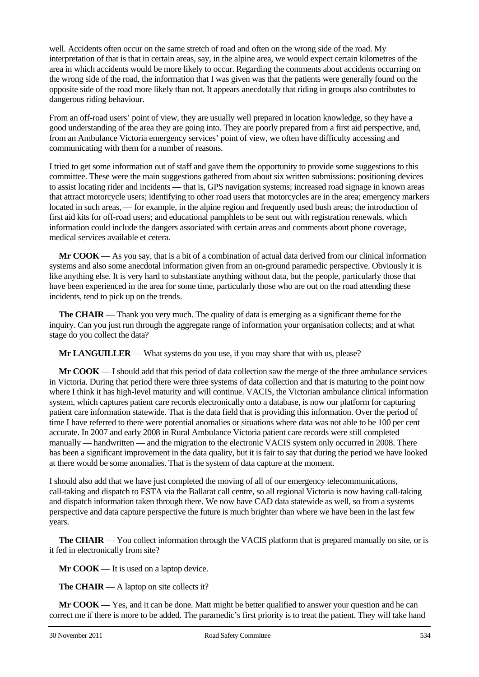well. Accidents often occur on the same stretch of road and often on the wrong side of the road. My interpretation of that is that in certain areas, say, in the alpine area, we would expect certain kilometres of the area in which accidents would be more likely to occur. Regarding the comments about accidents occurring on the wrong side of the road, the information that I was given was that the patients were generally found on the opposite side of the road more likely than not. It appears anecdotally that riding in groups also contributes to dangerous riding behaviour.

From an off-road users' point of view, they are usually well prepared in location knowledge, so they have a good understanding of the area they are going into. They are poorly prepared from a first aid perspective, and, from an Ambulance Victoria emergency services' point of view, we often have difficulty accessing and communicating with them for a number of reasons.

I tried to get some information out of staff and gave them the opportunity to provide some suggestions to this committee. These were the main suggestions gathered from about six written submissions: positioning devices to assist locating rider and incidents — that is, GPS navigation systems; increased road signage in known areas that attract motorcycle users; identifying to other road users that motorcycles are in the area; emergency markers located in such areas, — for example, in the alpine region and frequently used bush areas; the introduction of first aid kits for off-road users; and educational pamphlets to be sent out with registration renewals, which information could include the dangers associated with certain areas and comments about phone coverage, medical services available et cetera.

**Mr COOK** — As you say, that is a bit of a combination of actual data derived from our clinical information systems and also some anecdotal information given from an on-ground paramedic perspective. Obviously it is like anything else. It is very hard to substantiate anything without data, but the people, particularly those that have been experienced in the area for some time, particularly those who are out on the road attending these incidents, tend to pick up on the trends.

**The CHAIR** — Thank you very much. The quality of data is emerging as a significant theme for the inquiry. Can you just run through the aggregate range of information your organisation collects; and at what stage do you collect the data?

**Mr LANGUILLER** — What systems do you use, if you may share that with us, please?

**Mr COOK** — I should add that this period of data collection saw the merge of the three ambulance services in Victoria. During that period there were three systems of data collection and that is maturing to the point now where I think it has high-level maturity and will continue. VACIS, the Victorian ambulance clinical information system, which captures patient care records electronically onto a database, is now our platform for capturing patient care information statewide. That is the data field that is providing this information. Over the period of time I have referred to there were potential anomalies or situations where data was not able to be 100 per cent accurate. In 2007 and early 2008 in Rural Ambulance Victoria patient care records were still completed manually — handwritten — and the migration to the electronic VACIS system only occurred in 2008. There has been a significant improvement in the data quality, but it is fair to say that during the period we have looked at there would be some anomalies. That is the system of data capture at the moment.

I should also add that we have just completed the moving of all of our emergency telecommunications, call-taking and dispatch to ESTA via the Ballarat call centre, so all regional Victoria is now having call-taking and dispatch information taken through there. We now have CAD data statewide as well, so from a systems perspective and data capture perspective the future is much brighter than where we have been in the last few years.

**The CHAIR** — You collect information through the VACIS platform that is prepared manually on site, or is it fed in electronically from site?

**Mr COOK** — It is used on a laptop device.

**The CHAIR** — A laptop on site collects it?

**Mr COOK** — Yes, and it can be done. Matt might be better qualified to answer your question and he can correct me if there is more to be added. The paramedic's first priority is to treat the patient. They will take hand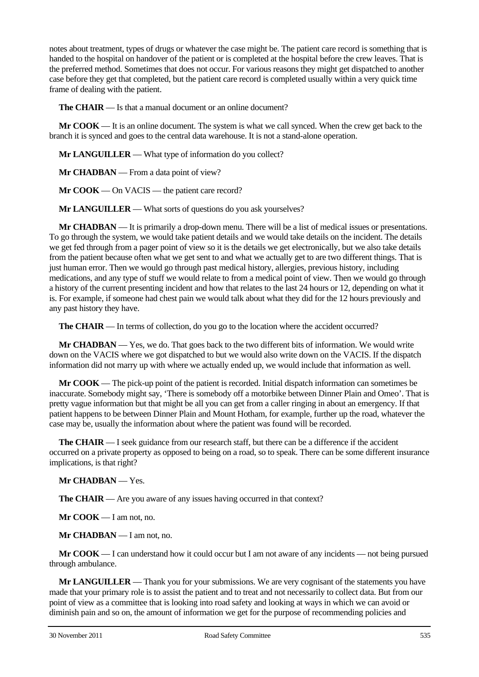notes about treatment, types of drugs or whatever the case might be. The patient care record is something that is handed to the hospital on handover of the patient or is completed at the hospital before the crew leaves. That is the preferred method. Sometimes that does not occur. For various reasons they might get dispatched to another case before they get that completed, but the patient care record is completed usually within a very quick time frame of dealing with the patient.

**The CHAIR** — Is that a manual document or an online document?

**Mr COOK** — It is an online document. The system is what we call synced. When the crew get back to the branch it is synced and goes to the central data warehouse. It is not a stand-alone operation.

**Mr LANGUILLER** — What type of information do you collect?

**Mr CHADBAN** — From a data point of view?

**Mr COOK** — On VACIS — the patient care record?

**Mr LANGUILLER** — What sorts of questions do you ask yourselves?

**Mr CHADBAN** — It is primarily a drop-down menu. There will be a list of medical issues or presentations. To go through the system, we would take patient details and we would take details on the incident. The details we get fed through from a pager point of view so it is the details we get electronically, but we also take details from the patient because often what we get sent to and what we actually get to are two different things. That is just human error. Then we would go through past medical history, allergies, previous history, including medications, and any type of stuff we would relate to from a medical point of view. Then we would go through a history of the current presenting incident and how that relates to the last 24 hours or 12, depending on what it is. For example, if someone had chest pain we would talk about what they did for the 12 hours previously and any past history they have.

**The CHAIR** — In terms of collection, do you go to the location where the accident occurred?

**Mr CHADBAN** — Yes, we do. That goes back to the two different bits of information. We would write down on the VACIS where we got dispatched to but we would also write down on the VACIS. If the dispatch information did not marry up with where we actually ended up, we would include that information as well.

**Mr COOK** — The pick-up point of the patient is recorded. Initial dispatch information can sometimes be inaccurate. Somebody might say, 'There is somebody off a motorbike between Dinner Plain and Omeo'. That is pretty vague information but that might be all you can get from a caller ringing in about an emergency. If that patient happens to be between Dinner Plain and Mount Hotham, for example, further up the road, whatever the case may be, usually the information about where the patient was found will be recorded.

**The CHAIR** — I seek guidance from our research staff, but there can be a difference if the accident occurred on a private property as opposed to being on a road, so to speak. There can be some different insurance implications, is that right?

**Mr CHADBAN** — Yes.

**The CHAIR** — Are you aware of any issues having occurred in that context?

**Mr COOK** — I am not, no.

**Mr CHADBAN** — I am not, no.

**Mr COOK** — I can understand how it could occur but I am not aware of any incidents — not being pursued through ambulance.

**Mr LANGUILLER** — Thank you for your submissions. We are very cognisant of the statements you have made that your primary role is to assist the patient and to treat and not necessarily to collect data. But from our point of view as a committee that is looking into road safety and looking at ways in which we can avoid or diminish pain and so on, the amount of information we get for the purpose of recommending policies and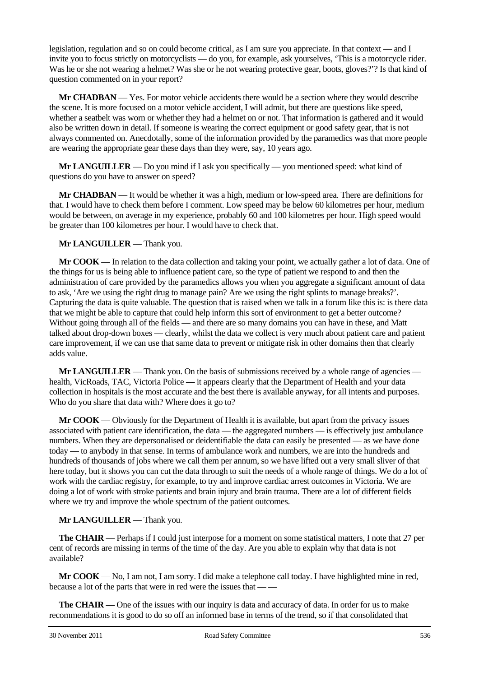legislation, regulation and so on could become critical, as I am sure you appreciate. In that context — and I invite you to focus strictly on motorcyclists — do you, for example, ask yourselves, 'This is a motorcycle rider. Was he or she not wearing a helmet? Was she or he not wearing protective gear, boots, gloves?'? Is that kind of question commented on in your report?

**Mr CHADBAN** — Yes. For motor vehicle accidents there would be a section where they would describe the scene. It is more focused on a motor vehicle accident, I will admit, but there are questions like speed, whether a seatbelt was worn or whether they had a helmet on or not. That information is gathered and it would also be written down in detail. If someone is wearing the correct equipment or good safety gear, that is not always commented on. Anecdotally, some of the information provided by the paramedics was that more people are wearing the appropriate gear these days than they were, say, 10 years ago.

**Mr LANGUILLER** — Do you mind if I ask you specifically — you mentioned speed: what kind of questions do you have to answer on speed?

**Mr CHADBAN** — It would be whether it was a high, medium or low-speed area. There are definitions for that. I would have to check them before I comment. Low speed may be below 60 kilometres per hour, medium would be between, on average in my experience, probably 60 and 100 kilometres per hour. High speed would be greater than 100 kilometres per hour. I would have to check that.

**Mr LANGUILLER** — Thank you.

**Mr COOK** — In relation to the data collection and taking your point, we actually gather a lot of data. One of the things for us is being able to influence patient care, so the type of patient we respond to and then the administration of care provided by the paramedics allows you when you aggregate a significant amount of data to ask, 'Are we using the right drug to manage pain? Are we using the right splints to manage breaks?'. Capturing the data is quite valuable. The question that is raised when we talk in a forum like this is: is there data that we might be able to capture that could help inform this sort of environment to get a better outcome? Without going through all of the fields — and there are so many domains you can have in these, and Matt talked about drop-down boxes — clearly, whilst the data we collect is very much about patient care and patient care improvement, if we can use that same data to prevent or mitigate risk in other domains then that clearly adds value.

**Mr LANGUILLER** — Thank you. On the basis of submissions received by a whole range of agencies health, VicRoads, TAC, Victoria Police — it appears clearly that the Department of Health and your data collection in hospitals is the most accurate and the best there is available anyway, for all intents and purposes. Who do you share that data with? Where does it go to?

**Mr COOK** — Obviously for the Department of Health it is available, but apart from the privacy issues associated with patient care identification, the data — the aggregated numbers — is effectively just ambulance numbers. When they are depersonalised or deidentifiable the data can easily be presented — as we have done today — to anybody in that sense. In terms of ambulance work and numbers, we are into the hundreds and hundreds of thousands of jobs where we call them per annum, so we have lifted out a very small sliver of that here today, but it shows you can cut the data through to suit the needs of a whole range of things. We do a lot of work with the cardiac registry, for example, to try and improve cardiac arrest outcomes in Victoria. We are doing a lot of work with stroke patients and brain injury and brain trauma. There are a lot of different fields where we try and improve the whole spectrum of the patient outcomes.

## **Mr LANGUILLER** — Thank you.

**The CHAIR** — Perhaps if I could just interpose for a moment on some statistical matters, I note that 27 per cent of records are missing in terms of the time of the day. Are you able to explain why that data is not available?

**Mr COOK** — No, I am not, I am sorry. I did make a telephone call today. I have highlighted mine in red, because a lot of the parts that were in red were the issues that — —

**The CHAIR** — One of the issues with our inquiry is data and accuracy of data. In order for us to make recommendations it is good to do so off an informed base in terms of the trend, so if that consolidated that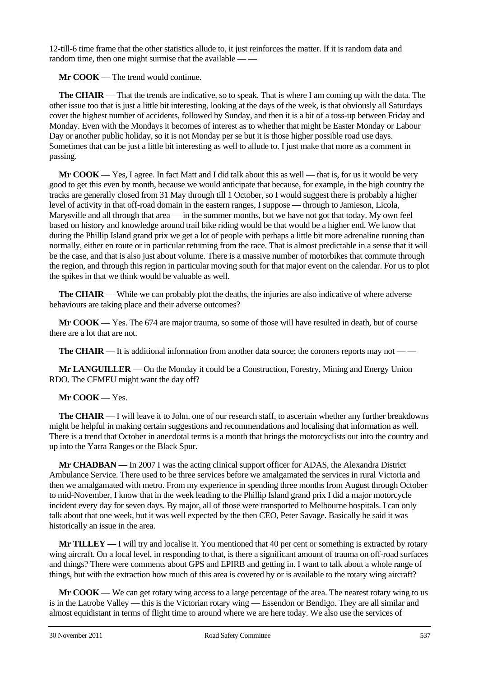12-till-6 time frame that the other statistics allude to, it just reinforces the matter. If it is random data and random time, then one might surmise that the available — —

**Mr COOK** — The trend would continue.

**The CHAIR** — That the trends are indicative, so to speak. That is where I am coming up with the data. The other issue too that is just a little bit interesting, looking at the days of the week, is that obviously all Saturdays cover the highest number of accidents, followed by Sunday, and then it is a bit of a toss-up between Friday and Monday. Even with the Mondays it becomes of interest as to whether that might be Easter Monday or Labour Day or another public holiday, so it is not Monday per se but it is those higher possible road use days. Sometimes that can be just a little bit interesting as well to allude to. I just make that more as a comment in passing.

**Mr COOK** — Yes, I agree. In fact Matt and I did talk about this as well — that is, for us it would be very good to get this even by month, because we would anticipate that because, for example, in the high country the tracks are generally closed from 31 May through till 1 October, so I would suggest there is probably a higher level of activity in that off-road domain in the eastern ranges, I suppose — through to Jamieson, Licola, Marysville and all through that area — in the summer months, but we have not got that today. My own feel based on history and knowledge around trail bike riding would be that would be a higher end. We know that during the Phillip Island grand prix we get a lot of people with perhaps a little bit more adrenaline running than normally, either en route or in particular returning from the race. That is almost predictable in a sense that it will be the case, and that is also just about volume. There is a massive number of motorbikes that commute through the region, and through this region in particular moving south for that major event on the calendar. For us to plot the spikes in that we think would be valuable as well.

**The CHAIR** — While we can probably plot the deaths, the injuries are also indicative of where adverse behaviours are taking place and their adverse outcomes?

**Mr COOK** — Yes. The 674 are major trauma, so some of those will have resulted in death, but of course there are a lot that are not.

**The CHAIR** — It is additional information from another data source; the coroners reports may not — —

**Mr LANGUILLER** — On the Monday it could be a Construction, Forestry, Mining and Energy Union RDO. The CFMEU might want the day off?

**Mr COOK** — Yes.

**The CHAIR** — I will leave it to John, one of our research staff, to ascertain whether any further breakdowns might be helpful in making certain suggestions and recommendations and localising that information as well. There is a trend that October in anecdotal terms is a month that brings the motorcyclists out into the country and up into the Yarra Ranges or the Black Spur.

**Mr CHADBAN** — In 2007 I was the acting clinical support officer for ADAS, the Alexandra District Ambulance Service. There used to be three services before we amalgamated the services in rural Victoria and then we amalgamated with metro. From my experience in spending three months from August through October to mid-November, I know that in the week leading to the Phillip Island grand prix I did a major motorcycle incident every day for seven days. By major, all of those were transported to Melbourne hospitals. I can only talk about that one week, but it was well expected by the then CEO, Peter Savage. Basically he said it was historically an issue in the area.

**Mr TILLEY** — I will try and localise it. You mentioned that 40 per cent or something is extracted by rotary wing aircraft. On a local level, in responding to that, is there a significant amount of trauma on off-road surfaces and things? There were comments about GPS and EPIRB and getting in. I want to talk about a whole range of things, but with the extraction how much of this area is covered by or is available to the rotary wing aircraft?

**Mr COOK** — We can get rotary wing access to a large percentage of the area. The nearest rotary wing to us is in the Latrobe Valley — this is the Victorian rotary wing — Essendon or Bendigo. They are all similar and almost equidistant in terms of flight time to around where we are here today. We also use the services of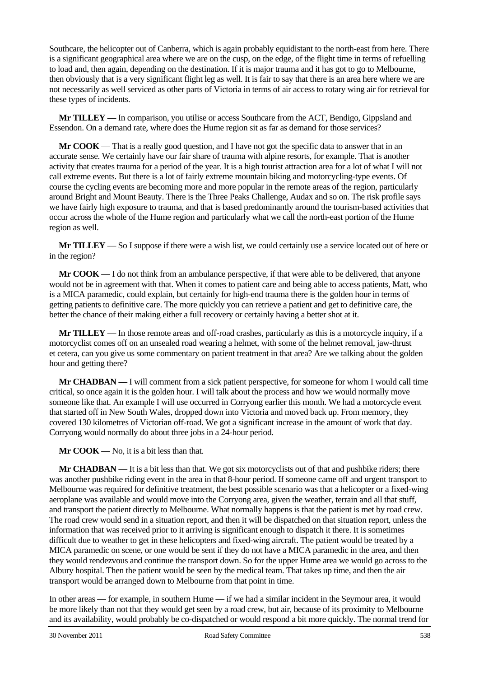Southcare, the helicopter out of Canberra, which is again probably equidistant to the north-east from here. There is a significant geographical area where we are on the cusp, on the edge, of the flight time in terms of refuelling to load and, then again, depending on the destination. If it is major trauma and it has got to go to Melbourne, then obviously that is a very significant flight leg as well. It is fair to say that there is an area here where we are not necessarily as well serviced as other parts of Victoria in terms of air access to rotary wing air for retrieval for these types of incidents.

**Mr TILLEY** — In comparison, you utilise or access Southcare from the ACT, Bendigo, Gippsland and Essendon. On a demand rate, where does the Hume region sit as far as demand for those services?

**Mr COOK** — That is a really good question, and I have not got the specific data to answer that in an accurate sense. We certainly have our fair share of trauma with alpine resorts, for example. That is another activity that creates trauma for a period of the year. It is a high tourist attraction area for a lot of what I will not call extreme events. But there is a lot of fairly extreme mountain biking and motorcycling-type events. Of course the cycling events are becoming more and more popular in the remote areas of the region, particularly around Bright and Mount Beauty. There is the Three Peaks Challenge, Audax and so on. The risk profile says we have fairly high exposure to trauma, and that is based predominantly around the tourism-based activities that occur across the whole of the Hume region and particularly what we call the north-east portion of the Hume region as well.

**Mr TILLEY** — So I suppose if there were a wish list, we could certainly use a service located out of here or in the region?

**Mr COOK** — I do not think from an ambulance perspective, if that were able to be delivered, that anyone would not be in agreement with that. When it comes to patient care and being able to access patients, Matt, who is a MICA paramedic, could explain, but certainly for high-end trauma there is the golden hour in terms of getting patients to definitive care. The more quickly you can retrieve a patient and get to definitive care, the better the chance of their making either a full recovery or certainly having a better shot at it.

**Mr TILLEY** — In those remote areas and off-road crashes, particularly as this is a motorcycle inquiry, if a motorcyclist comes off on an unsealed road wearing a helmet, with some of the helmet removal, jaw-thrust et cetera, can you give us some commentary on patient treatment in that area? Are we talking about the golden hour and getting there?

**Mr CHADBAN** — I will comment from a sick patient perspective, for someone for whom I would call time critical, so once again it is the golden hour. I will talk about the process and how we would normally move someone like that. An example I will use occurred in Corryong earlier this month. We had a motorcycle event that started off in New South Wales, dropped down into Victoria and moved back up. From memory, they covered 130 kilometres of Victorian off-road. We got a significant increase in the amount of work that day. Corryong would normally do about three jobs in a 24-hour period.

**Mr COOK** — No, it is a bit less than that.

**Mr CHADBAN** — It is a bit less than that. We got six motorcyclists out of that and pushbike riders; there was another pushbike riding event in the area in that 8-hour period. If someone came off and urgent transport to Melbourne was required for definitive treatment, the best possible scenario was that a helicopter or a fixed-wing aeroplane was available and would move into the Corryong area, given the weather, terrain and all that stuff, and transport the patient directly to Melbourne. What normally happens is that the patient is met by road crew. The road crew would send in a situation report, and then it will be dispatched on that situation report, unless the information that was received prior to it arriving is significant enough to dispatch it there. It is sometimes difficult due to weather to get in these helicopters and fixed-wing aircraft. The patient would be treated by a MICA paramedic on scene, or one would be sent if they do not have a MICA paramedic in the area, and then they would rendezvous and continue the transport down. So for the upper Hume area we would go across to the Albury hospital. Then the patient would be seen by the medical team. That takes up time, and then the air transport would be arranged down to Melbourne from that point in time.

In other areas — for example, in southern Hume — if we had a similar incident in the Seymour area, it would be more likely than not that they would get seen by a road crew, but air, because of its proximity to Melbourne and its availability, would probably be co-dispatched or would respond a bit more quickly. The normal trend for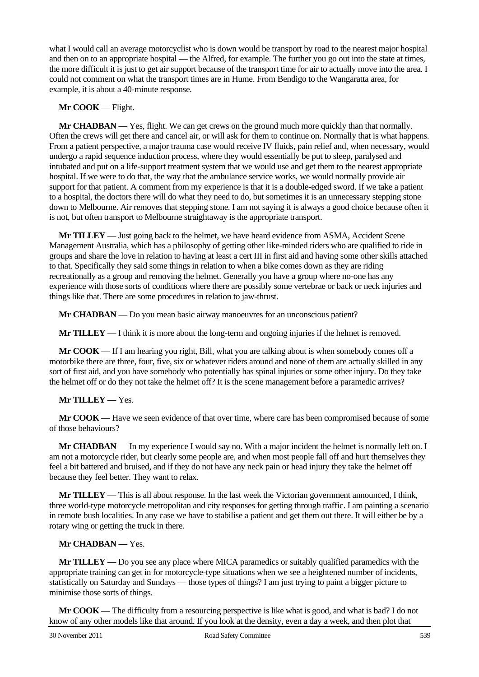what I would call an average motorcyclist who is down would be transport by road to the nearest major hospital and then on to an appropriate hospital — the Alfred, for example. The further you go out into the state at times, the more difficult it is just to get air support because of the transport time for air to actually move into the area. I could not comment on what the transport times are in Hume. From Bendigo to the Wangaratta area, for example, it is about a 40-minute response.

#### **Mr COOK** — Flight.

**Mr CHADBAN** — Yes, flight. We can get crews on the ground much more quickly than that normally. Often the crews will get there and cancel air, or will ask for them to continue on. Normally that is what happens. From a patient perspective, a major trauma case would receive IV fluids, pain relief and, when necessary, would undergo a rapid sequence induction process, where they would essentially be put to sleep, paralysed and intubated and put on a life-support treatment system that we would use and get them to the nearest appropriate hospital. If we were to do that, the way that the ambulance service works, we would normally provide air support for that patient. A comment from my experience is that it is a double-edged sword. If we take a patient to a hospital, the doctors there will do what they need to do, but sometimes it is an unnecessary stepping stone down to Melbourne. Air removes that stepping stone. I am not saying it is always a good choice because often it is not, but often transport to Melbourne straightaway is the appropriate transport.

**Mr TILLEY** — Just going back to the helmet, we have heard evidence from ASMA, Accident Scene Management Australia, which has a philosophy of getting other like-minded riders who are qualified to ride in groups and share the love in relation to having at least a cert III in first aid and having some other skills attached to that. Specifically they said some things in relation to when a bike comes down as they are riding recreationally as a group and removing the helmet. Generally you have a group where no-one has any experience with those sorts of conditions where there are possibly some vertebrae or back or neck injuries and things like that. There are some procedures in relation to jaw-thrust.

**Mr CHADBAN** — Do you mean basic airway manoeuvres for an unconscious patient?

**Mr TILLEY** — I think it is more about the long-term and ongoing injuries if the helmet is removed.

**Mr COOK** — If I am hearing you right, Bill, what you are talking about is when somebody comes off a motorbike there are three, four, five, six or whatever riders around and none of them are actually skilled in any sort of first aid, and you have somebody who potentially has spinal injuries or some other injury. Do they take the helmet off or do they not take the helmet off? It is the scene management before a paramedic arrives?

#### **Mr TILLEY** — Yes.

**Mr COOK** — Have we seen evidence of that over time, where care has been compromised because of some of those behaviours?

**Mr CHADBAN** — In my experience I would say no. With a major incident the helmet is normally left on. I am not a motorcycle rider, but clearly some people are, and when most people fall off and hurt themselves they feel a bit battered and bruised, and if they do not have any neck pain or head injury they take the helmet off because they feel better. They want to relax.

**Mr TILLEY** — This is all about response. In the last week the Victorian government announced, I think, three world-type motorcycle metropolitan and city responses for getting through traffic. I am painting a scenario in remote bush localities. In any case we have to stabilise a patient and get them out there. It will either be by a rotary wing or getting the truck in there.

#### **Mr CHADBAN** — Yes.

**Mr TILLEY** — Do you see any place where MICA paramedics or suitably qualified paramedics with the appropriate training can get in for motorcycle-type situations when we see a heightened number of incidents, statistically on Saturday and Sundays — those types of things? I am just trying to paint a bigger picture to minimise those sorts of things.

**Mr COOK** — The difficulty from a resourcing perspective is like what is good, and what is bad? I do not know of any other models like that around. If you look at the density, even a day a week, and then plot that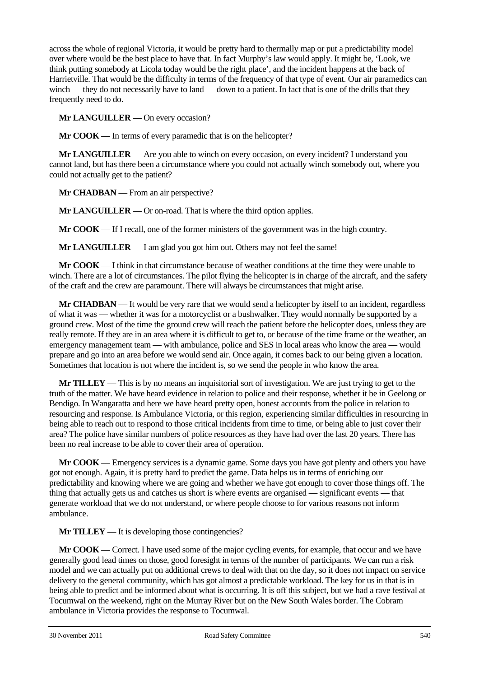across the whole of regional Victoria, it would be pretty hard to thermally map or put a predictability model over where would be the best place to have that. In fact Murphy's law would apply. It might be, 'Look, we think putting somebody at Licola today would be the right place', and the incident happens at the back of Harrietville. That would be the difficulty in terms of the frequency of that type of event. Our air paramedics can winch — they do not necessarily have to land — down to a patient. In fact that is one of the drills that they frequently need to do.

**Mr LANGUILLER** — On every occasion?

**Mr COOK** — In terms of every paramedic that is on the helicopter?

**Mr LANGUILLER** — Are you able to winch on every occasion, on every incident? I understand you cannot land, but has there been a circumstance where you could not actually winch somebody out, where you could not actually get to the patient?

**Mr CHADBAN** — From an air perspective?

**Mr LANGUILLER** — Or on-road. That is where the third option applies.

**Mr COOK** — If I recall, one of the former ministers of the government was in the high country.

**Mr LANGUILLER** — I am glad you got him out. Others may not feel the same!

**Mr COOK** — I think in that circumstance because of weather conditions at the time they were unable to winch. There are a lot of circumstances. The pilot flying the helicopter is in charge of the aircraft, and the safety of the craft and the crew are paramount. There will always be circumstances that might arise.

**Mr CHADBAN** — It would be very rare that we would send a helicopter by itself to an incident, regardless of what it was — whether it was for a motorcyclist or a bushwalker. They would normally be supported by a ground crew. Most of the time the ground crew will reach the patient before the helicopter does, unless they are really remote. If they are in an area where it is difficult to get to, or because of the time frame or the weather, an emergency management team — with ambulance, police and SES in local areas who know the area — would prepare and go into an area before we would send air. Once again, it comes back to our being given a location. Sometimes that location is not where the incident is, so we send the people in who know the area.

**Mr TILLEY** — This is by no means an inquisitorial sort of investigation. We are just trying to get to the truth of the matter. We have heard evidence in relation to police and their response, whether it be in Geelong or Bendigo. In Wangaratta and here we have heard pretty open, honest accounts from the police in relation to resourcing and response. Is Ambulance Victoria, or this region, experiencing similar difficulties in resourcing in being able to reach out to respond to those critical incidents from time to time, or being able to just cover their area? The police have similar numbers of police resources as they have had over the last 20 years. There has been no real increase to be able to cover their area of operation.

**Mr COOK** — Emergency services is a dynamic game. Some days you have got plenty and others you have got not enough. Again, it is pretty hard to predict the game. Data helps us in terms of enriching our predictability and knowing where we are going and whether we have got enough to cover those things off. The thing that actually gets us and catches us short is where events are organised — significant events — that generate workload that we do not understand, or where people choose to for various reasons not inform ambulance.

**Mr TILLEY** — It is developing those contingencies?

**Mr COOK** — Correct. I have used some of the major cycling events, for example, that occur and we have generally good lead times on those, good foresight in terms of the number of participants. We can run a risk model and we can actually put on additional crews to deal with that on the day, so it does not impact on service delivery to the general community, which has got almost a predictable workload. The key for us in that is in being able to predict and be informed about what is occurring. It is off this subject, but we had a rave festival at Tocumwal on the weekend, right on the Murray River but on the New South Wales border. The Cobram ambulance in Victoria provides the response to Tocumwal.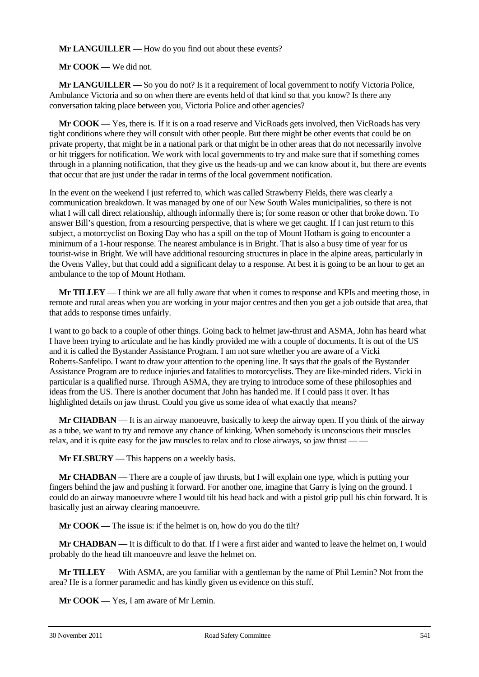**Mr LANGUILLER** — How do you find out about these events?

**Mr COOK** — We did not.

**Mr LANGUILLER** — So you do not? Is it a requirement of local government to notify Victoria Police, Ambulance Victoria and so on when there are events held of that kind so that you know? Is there any conversation taking place between you, Victoria Police and other agencies?

**Mr COOK** — Yes, there is. If it is on a road reserve and VicRoads gets involved, then VicRoads has very tight conditions where they will consult with other people. But there might be other events that could be on private property, that might be in a national park or that might be in other areas that do not necessarily involve or hit triggers for notification. We work with local governments to try and make sure that if something comes through in a planning notification, that they give us the heads-up and we can know about it, but there are events that occur that are just under the radar in terms of the local government notification.

In the event on the weekend I just referred to, which was called Strawberry Fields, there was clearly a communication breakdown. It was managed by one of our New South Wales municipalities, so there is not what I will call direct relationship, although informally there is; for some reason or other that broke down. To answer Bill's question, from a resourcing perspective, that is where we get caught. If I can just return to this subject, a motorcyclist on Boxing Day who has a spill on the top of Mount Hotham is going to encounter a minimum of a 1-hour response. The nearest ambulance is in Bright. That is also a busy time of year for us tourist-wise in Bright. We will have additional resourcing structures in place in the alpine areas, particularly in the Ovens Valley, but that could add a significant delay to a response. At best it is going to be an hour to get an ambulance to the top of Mount Hotham.

**Mr TILLEY** — I think we are all fully aware that when it comes to response and KPIs and meeting those, in remote and rural areas when you are working in your major centres and then you get a job outside that area, that that adds to response times unfairly.

I want to go back to a couple of other things. Going back to helmet jaw-thrust and ASMA, John has heard what I have been trying to articulate and he has kindly provided me with a couple of documents. It is out of the US and it is called the Bystander Assistance Program. I am not sure whether you are aware of a Vicki Roberts-Sanfelipo. I want to draw your attention to the opening line. It says that the goals of the Bystander Assistance Program are to reduce injuries and fatalities to motorcyclists. They are like-minded riders. Vicki in particular is a qualified nurse. Through ASMA, they are trying to introduce some of these philosophies and ideas from the US. There is another document that John has handed me. If I could pass it over. It has highlighted details on jaw thrust. Could you give us some idea of what exactly that means?

**Mr CHADBAN** — It is an airway manoeuvre, basically to keep the airway open. If you think of the airway as a tube, we want to try and remove any chance of kinking. When somebody is unconscious their muscles relax, and it is quite easy for the jaw muscles to relax and to close airways, so jaw thrust -

**Mr ELSBURY** — This happens on a weekly basis.

**Mr CHADBAN** — There are a couple of jaw thrusts, but I will explain one type, which is putting your fingers behind the jaw and pushing it forward. For another one, imagine that Garry is lying on the ground. I could do an airway manoeuvre where I would tilt his head back and with a pistol grip pull his chin forward. It is basically just an airway clearing manoeuvre.

**Mr COOK** — The issue is: if the helmet is on, how do you do the tilt?

**Mr CHADBAN** — It is difficult to do that. If I were a first aider and wanted to leave the helmet on, I would probably do the head tilt manoeuvre and leave the helmet on.

**Mr TILLEY** — With ASMA, are you familiar with a gentleman by the name of Phil Lemin? Not from the area? He is a former paramedic and has kindly given us evidence on this stuff.

**Mr COOK** — Yes, I am aware of Mr Lemin.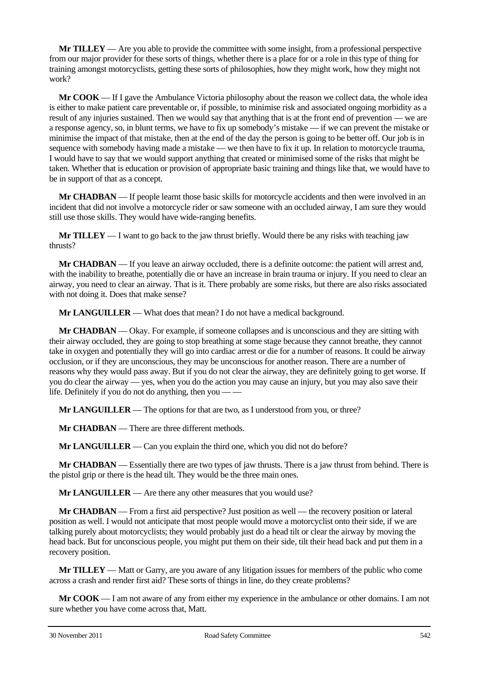**Mr TILLEY** — Are you able to provide the committee with some insight, from a professional perspective from our major provider for these sorts of things, whether there is a place for or a role in this type of thing for training amongst motorcyclists, getting these sorts of philosophies, how they might work, how they might not work?

**Mr COOK** — If I gave the Ambulance Victoria philosophy about the reason we collect data, the whole idea is either to make patient care preventable or, if possible, to minimise risk and associated ongoing morbidity as a result of any injuries sustained. Then we would say that anything that is at the front end of prevention — we are a response agency, so, in blunt terms, we have to fix up somebody's mistake — if we can prevent the mistake or minimise the impact of that mistake, then at the end of the day the person is going to be better off. Our job is in sequence with somebody having made a mistake — we then have to fix it up. In relation to motorcycle trauma, I would have to say that we would support anything that created or minimised some of the risks that might be taken. Whether that is education or provision of appropriate basic training and things like that, we would have to be in support of that as a concept.

**Mr CHADBAN** — If people learnt those basic skills for motorcycle accidents and then were involved in an incident that did not involve a motorcycle rider or saw someone with an occluded airway, I am sure they would still use those skills. They would have wide-ranging benefits.

**Mr TILLEY** — I want to go back to the jaw thrust briefly. Would there be any risks with teaching jaw thrusts?

**Mr CHADBAN** — If you leave an airway occluded, there is a definite outcome: the patient will arrest and, with the inability to breathe, potentially die or have an increase in brain trauma or injury. If you need to clear an airway, you need to clear an airway. That is it. There probably are some risks, but there are also risks associated with not doing it. Does that make sense?

**Mr LANGUILLER** — What does that mean? I do not have a medical background.

**Mr CHADBAN** — Okay. For example, if someone collapses and is unconscious and they are sitting with their airway occluded, they are going to stop breathing at some stage because they cannot breathe, they cannot take in oxygen and potentially they will go into cardiac arrest or die for a number of reasons. It could be airway occlusion, or if they are unconscious, they may be unconscious for another reason. There are a number of reasons why they would pass away. But if you do not clear the airway, they are definitely going to get worse. If you do clear the airway — yes, when you do the action you may cause an injury, but you may also save their life. Definitely if you do not do anything, then you — —

**Mr LANGUILLER** — The options for that are two, as I understood from you, or three?

**Mr CHADBAN** — There are three different methods.

**Mr LANGUILLER** — Can you explain the third one, which you did not do before?

**Mr CHADBAN** — Essentially there are two types of jaw thrusts. There is a jaw thrust from behind. There is the pistol grip or there is the head tilt. They would be the three main ones.

**Mr LANGUILLER** — Are there any other measures that you would use?

**Mr CHADBAN** — From a first aid perspective? Just position as well — the recovery position or lateral position as well. I would not anticipate that most people would move a motorcyclist onto their side, if we are talking purely about motorcyclists; they would probably just do a head tilt or clear the airway by moving the head back. But for unconscious people, you might put them on their side, tilt their head back and put them in a recovery position.

**Mr TILLEY** — Matt or Garry, are you aware of any litigation issues for members of the public who come across a crash and render first aid? These sorts of things in line, do they create problems?

**Mr COOK** — I am not aware of any from either my experience in the ambulance or other domains. I am not sure whether you have come across that, Matt.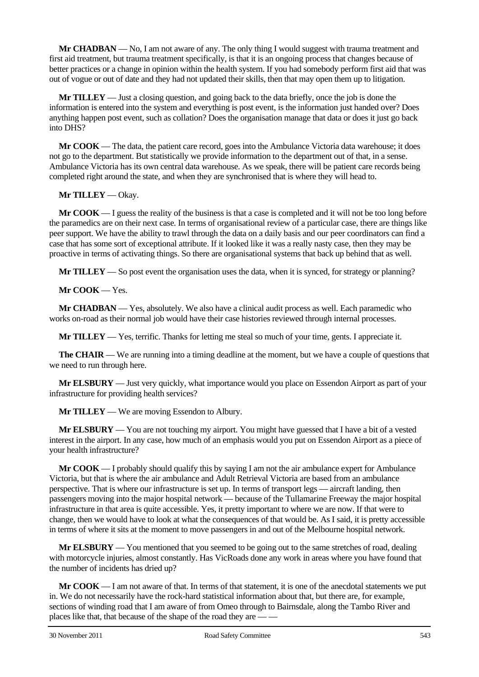**Mr CHADBAN** — No, I am not aware of any. The only thing I would suggest with trauma treatment and first aid treatment, but trauma treatment specifically, is that it is an ongoing process that changes because of better practices or a change in opinion within the health system. If you had somebody perform first aid that was out of vogue or out of date and they had not updated their skills, then that may open them up to litigation.

**Mr TILLEY** — Just a closing question, and going back to the data briefly, once the job is done the information is entered into the system and everything is post event, is the information just handed over? Does anything happen post event, such as collation? Does the organisation manage that data or does it just go back into DHS?

**Mr COOK** — The data, the patient care record, goes into the Ambulance Victoria data warehouse; it does not go to the department. But statistically we provide information to the department out of that, in a sense. Ambulance Victoria has its own central data warehouse. As we speak, there will be patient care records being completed right around the state, and when they are synchronised that is where they will head to.

## **Mr TILLEY** — Okay.

**Mr COOK** — I guess the reality of the business is that a case is completed and it will not be too long before the paramedics are on their next case. In terms of organisational review of a particular case, there are things like peer support. We have the ability to trawl through the data on a daily basis and our peer coordinators can find a case that has some sort of exceptional attribute. If it looked like it was a really nasty case, then they may be proactive in terms of activating things. So there are organisational systems that back up behind that as well.

**Mr TILLEY** — So post event the organisation uses the data, when it is synced, for strategy or planning?

#### **Mr COOK** — Yes.

**Mr CHADBAN** — Yes, absolutely. We also have a clinical audit process as well. Each paramedic who works on-road as their normal job would have their case histories reviewed through internal processes.

**Mr TILLEY** — Yes, terrific. Thanks for letting me steal so much of your time, gents. I appreciate it.

**The CHAIR** — We are running into a timing deadline at the moment, but we have a couple of questions that we need to run through here.

**Mr ELSBURY** — Just very quickly, what importance would you place on Essendon Airport as part of your infrastructure for providing health services?

**Mr TILLEY** — We are moving Essendon to Albury.

**Mr ELSBURY** — You are not touching my airport. You might have guessed that I have a bit of a vested interest in the airport. In any case, how much of an emphasis would you put on Essendon Airport as a piece of your health infrastructure?

**Mr COOK** — I probably should qualify this by saying I am not the air ambulance expert for Ambulance Victoria, but that is where the air ambulance and Adult Retrieval Victoria are based from an ambulance perspective. That is where our infrastructure is set up. In terms of transport legs — aircraft landing, then passengers moving into the major hospital network — because of the Tullamarine Freeway the major hospital infrastructure in that area is quite accessible. Yes, it pretty important to where we are now. If that were to change, then we would have to look at what the consequences of that would be. As I said, it is pretty accessible in terms of where it sits at the moment to move passengers in and out of the Melbourne hospital network.

**Mr ELSBURY** — You mentioned that you seemed to be going out to the same stretches of road, dealing with motorcycle injuries, almost constantly. Has VicRoads done any work in areas where you have found that the number of incidents has dried up?

**Mr COOK** — I am not aware of that. In terms of that statement, it is one of the anecdotal statements we put in. We do not necessarily have the rock-hard statistical information about that, but there are, for example, sections of winding road that I am aware of from Omeo through to Bairnsdale, along the Tambo River and places like that, that because of the shape of the road they are — —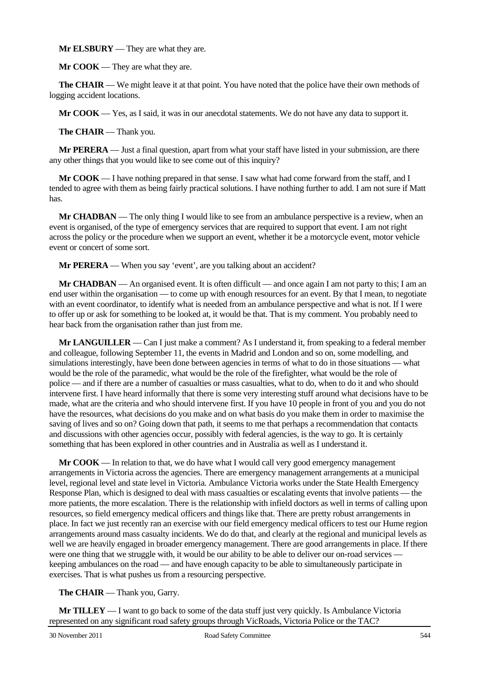**Mr ELSBURY** — They are what they are.

**Mr COOK** — They are what they are.

**The CHAIR** — We might leave it at that point. You have noted that the police have their own methods of logging accident locations.

**Mr COOK** — Yes, as I said, it was in our anecdotal statements. We do not have any data to support it.

**The CHAIR** — Thank you.

**Mr PERERA** — Just a final question, apart from what your staff have listed in your submission, are there any other things that you would like to see come out of this inquiry?

**Mr COOK** — I have nothing prepared in that sense. I saw what had come forward from the staff, and I tended to agree with them as being fairly practical solutions. I have nothing further to add. I am not sure if Matt has.

**Mr CHADBAN** — The only thing I would like to see from an ambulance perspective is a review, when an event is organised, of the type of emergency services that are required to support that event. I am not right across the policy or the procedure when we support an event, whether it be a motorcycle event, motor vehicle event or concert of some sort.

**Mr PERERA** — When you say 'event', are you talking about an accident?

**Mr CHADBAN** — An organised event. It is often difficult — and once again I am not party to this; I am an end user within the organisation — to come up with enough resources for an event. By that I mean, to negotiate with an event coordinator, to identify what is needed from an ambulance perspective and what is not. If I were to offer up or ask for something to be looked at, it would be that. That is my comment. You probably need to hear back from the organisation rather than just from me.

**Mr LANGUILLER** — Can I just make a comment? As I understand it, from speaking to a federal member and colleague, following September 11, the events in Madrid and London and so on, some modelling, and simulations interestingly, have been done between agencies in terms of what to do in those situations — what would be the role of the paramedic, what would be the role of the firefighter, what would be the role of police — and if there are a number of casualties or mass casualties, what to do, when to do it and who should intervene first. I have heard informally that there is some very interesting stuff around what decisions have to be made, what are the criteria and who should intervene first. If you have 10 people in front of you and you do not have the resources, what decisions do you make and on what basis do you make them in order to maximise the saving of lives and so on? Going down that path, it seems to me that perhaps a recommendation that contacts and discussions with other agencies occur, possibly with federal agencies, is the way to go. It is certainly something that has been explored in other countries and in Australia as well as I understand it.

**Mr COOK** — In relation to that, we do have what I would call very good emergency management arrangements in Victoria across the agencies. There are emergency management arrangements at a municipal level, regional level and state level in Victoria. Ambulance Victoria works under the State Health Emergency Response Plan, which is designed to deal with mass casualties or escalating events that involve patients — the more patients, the more escalation. There is the relationship with infield doctors as well in terms of calling upon resources, so field emergency medical officers and things like that. There are pretty robust arrangements in place. In fact we just recently ran an exercise with our field emergency medical officers to test our Hume region arrangements around mass casualty incidents. We do do that, and clearly at the regional and municipal levels as well we are heavily engaged in broader emergency management. There are good arrangements in place. If there were one thing that we struggle with, it would be our ability to be able to deliver our on-road services keeping ambulances on the road — and have enough capacity to be able to simultaneously participate in exercises. That is what pushes us from a resourcing perspective.

**The CHAIR** — Thank you, Garry.

**Mr TILLEY** — I want to go back to some of the data stuff just very quickly. Is Ambulance Victoria represented on any significant road safety groups through VicRoads, Victoria Police or the TAC?